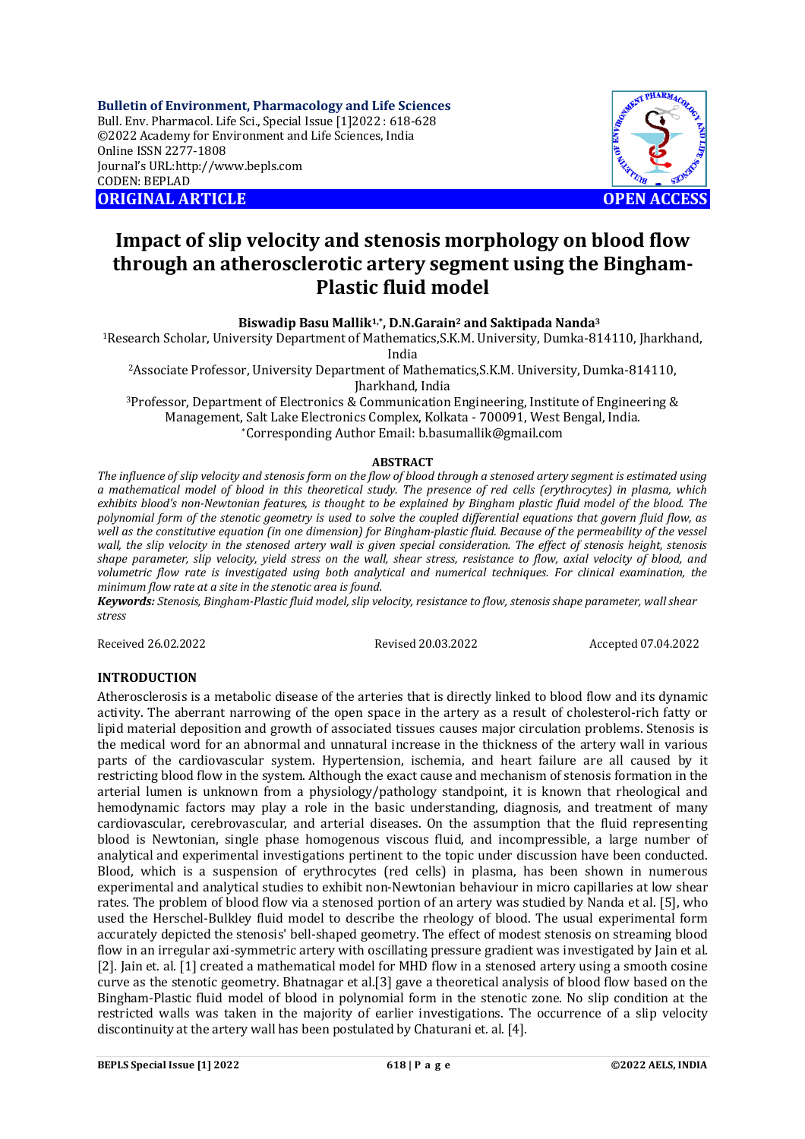**Bulletin of Environment, Pharmacology and Life Sciences** Bull. Env. Pharmacol. Life Sci., Special Issue [1]2022 : 618-628 ©2022 Academy for Environment and Life Sciences, India Online ISSN 2277-1808 Journal's URL:<http://www.bepls.com> CODEN: BEPLAD **ORIGINAL ARTICLE OPEN ACCESS** 



# **Impact of slip velocity and stenosis morphology on blood flow through an atherosclerotic artery segment using the Bingham-Plastic fluid model**

**Biswadip Basu Mallik1,\*, D.N.Garain<sup>2</sup> and Saktipada Nanda<sup>3</sup>**

<sup>1</sup>Research Scholar, University Department of Mathematics,S.K.M. University, Dumka-814110, Jharkhand, India

<sup>2</sup>Associate Professor, University Department of Mathematics,S.K.M. University, Dumka-814110, Jharkhand, India

<sup>3</sup>Professor, Department of Electronics & Communication Engineering, Institute of Engineering & Management, Salt Lake Electronics Complex, Kolkata - 700091, West Bengal, India. \*Corresponding Author Email: [b.basumallik@gmail.com](mailto:b.basumallik@gmail.com)

### **ABSTRACT**

*The influence of slip velocity and stenosis form on the flow of blood through a stenosed artery segment is estimated using a mathematical model of blood in this theoretical study. The presence of red cells (erythrocytes) in plasma, which*  exhibits blood's non-Newtonian features, is thought to be explained by Bingham plastic fluid model of the blood. The *polynomial form of the stenotic geometry is used to solve the coupled differential equations that govern fluid flow, as*  well as the constitutive equation (in one dimension) for Bingham-plastic fluid. Because of the permeability of the vessel *wall, the slip velocity in the stenosed artery wall is given special consideration. The effect of stenosis height, stenosis shape parameter, slip velocity, yield stress on the wall, shear stress, resistance to flow, axial velocity of blood, and volumetric flow rate is investigated using both analytical and numerical techniques. For clinical examination, the minimum flow rate at a site in the stenotic area is found.*

*Keywords: Stenosis, Bingham-Plastic fluid model, slip velocity, resistance to flow, stenosis shape parameter, wall shear stress*

Received 26.02.2022 Revised 20.03.2022 Accepted 07.04.2022

### **INTRODUCTION**

Atherosclerosis is a metabolic disease of the arteries that is directly linked to blood flow and its dynamic activity. The aberrant narrowing of the open space in the artery as a result of cholesterol-rich fatty or lipid material deposition and growth of associated tissues causes major circulation problems. Stenosis is the medical word for an abnormal and unnatural increase in the thickness of the artery wall in various parts of the cardiovascular system. Hypertension, ischemia, and heart failure are all caused by it restricting blood flow in the system. Although the exact cause and mechanism of stenosis formation in the arterial lumen is unknown from a physiology/pathology standpoint, it is known that rheological and hemodynamic factors may play a role in the basic understanding, diagnosis, and treatment of many cardiovascular, cerebrovascular, and arterial diseases. On the assumption that the fluid representing blood is Newtonian, single phase homogenous viscous fluid, and incompressible, a large number of analytical and experimental investigations pertinent to the topic under discussion have been conducted. Blood, which is a suspension of erythrocytes (red cells) in plasma, has been shown in numerous experimental and analytical studies to exhibit non-Newtonian behaviour in micro capillaries at low shear rates. The problem of blood flow via a stenosed portion of an artery was studied by Nanda et al. [5], who used the Herschel-Bulkley fluid model to describe the rheology of blood. The usual experimental form accurately depicted the stenosis' bell-shaped geometry. The effect of modest stenosis on streaming blood flow in an irregular axi-symmetric artery with oscillating pressure gradient was investigated by Jain et al. [2]. Jain et. al. [1] created a mathematical model for MHD flow in a stenosed artery using a smooth cosine curve as the stenotic geometry. Bhatnagar et al.[3] gave a theoretical analysis of blood flow based on the Bingham-Plastic fluid model of blood in polynomial form in the stenotic zone. No slip condition at the restricted walls was taken in the majority of earlier investigations. The occurrence of a slip velocity discontinuity at the artery wall has been postulated by Chaturani et. al. [4].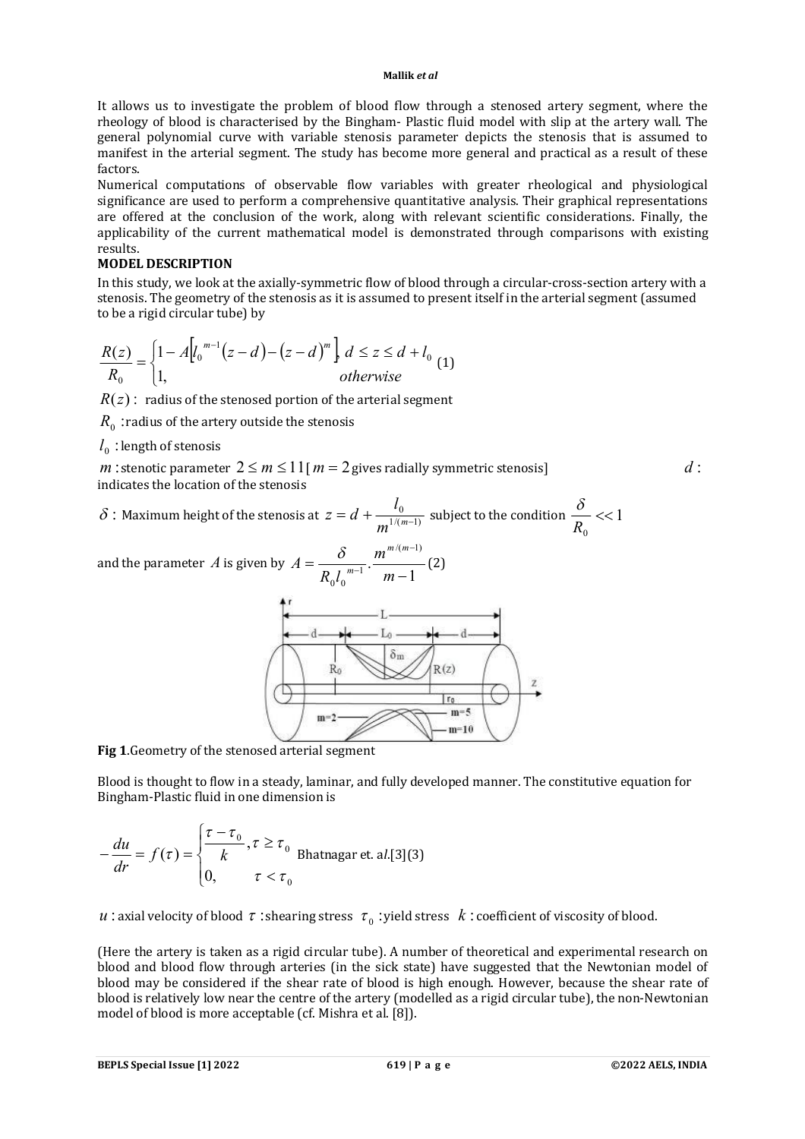It allows us to investigate the problem of blood flow through a stenosed artery segment, where the rheology of blood is characterised by the Bingham- Plastic fluid model with slip at the artery wall. The general polynomial curve with variable stenosis parameter depicts the stenosis that is assumed to manifest in the arterial segment. The study has become more general and practical as a result of these factors.

Numerical computations of observable flow variables with greater rheological and physiological significance are used to perform a comprehensive quantitative analysis. Their graphical representations are offered at the conclusion of the work, along with relevant scientific considerations. Finally, the applicability of the current mathematical model is demonstrated through comparisons with existing results.

### **MODEL DESCRIPTION**

In this study, we look at the axially-symmetric flow of blood through a circular-cross-section artery with a stenosis. The geometry of the stenosis as it is assumed to present itself in the arterial segment (assumed to be a rigid circular tube) by

$$
\frac{R(z)}{R_0} = \begin{cases} 1 - A \left[ l_0^{m-1} (z - d) - (z - d)^m \right] \, d \le z \le d + l_0 \\ 1, & \text{otherwise} \end{cases} \tag{1}
$$

 $R(z)$ : radius of the stenosed portion of the arterial segment

 $R_{_{\scriptstyle{0}}}$  : radius of the artery outside the stenosis

## $l_0^{\phantom{\dag}}$  : length of stenosis

*m* : stenotic parameter  $2 \le m \le 11$  [ $m = 2$  gives radially symmetric stenosis]  $d$  : indicates the location of the stenosis

 $\delta$  : Maximum height of the stenosis at  $z = d + \frac{\epsilon_0}{m^{1/(m-1)}}$  $= d + \frac{v_0}{m^{1/(m-1)}}$ *l*  $z = d + \frac{v_0}{1/(m-1)}$  subject to the condition  $\frac{v}{R}$  << 1  $\boldsymbol{0}$ *R* δ

and the parameter *A* is given by 1 .  $/(m-1)$ 1  $0 \begin{bmatrix} 0 & m-1 \\ 0 & m \end{bmatrix}$  m –  $=$  $\overline{\phantom{0}}$  $^{-1}$ <sup>n</sup> *m*  $R_0 l$ *A m m m*  $\frac{\delta}{\delta_{m-1}}$ .  $\frac{m^{m/(m-1)}}{m}$  (2)



**Fig 1**.Geometry of the stenosed arterial segment

Blood is thought to flow in a steady, laminar, and fully developed manner. The constitutive equation for Bingham-Plastic fluid in one dimension is

$$
-\frac{du}{dr} = f(\tau) = \begin{cases} \frac{\tau - \tau_0}{k}, \tau \ge \tau_0 \\ 0, \tau < \tau_0 \end{cases}
$$
Bhatnagar et. al.[3](3)

 $u$  : axial velocity of blood  $\,\tau$  : shearing stress  $\,\,\tau_{_0}$  : yield stress  $\,\,k$  : coefficient of viscosity of blood.

(Here the artery is taken as a rigid circular tube). A number of theoretical and experimental research on blood and blood flow through arteries (in the sick state) have suggested that the Newtonian model of blood may be considered if the shear rate of blood is high enough. However, because the shear rate of blood is relatively low near the centre of the artery (modelled as a rigid circular tube), the non-Newtonian model of blood is more acceptable (cf. Mishra et al. [8]).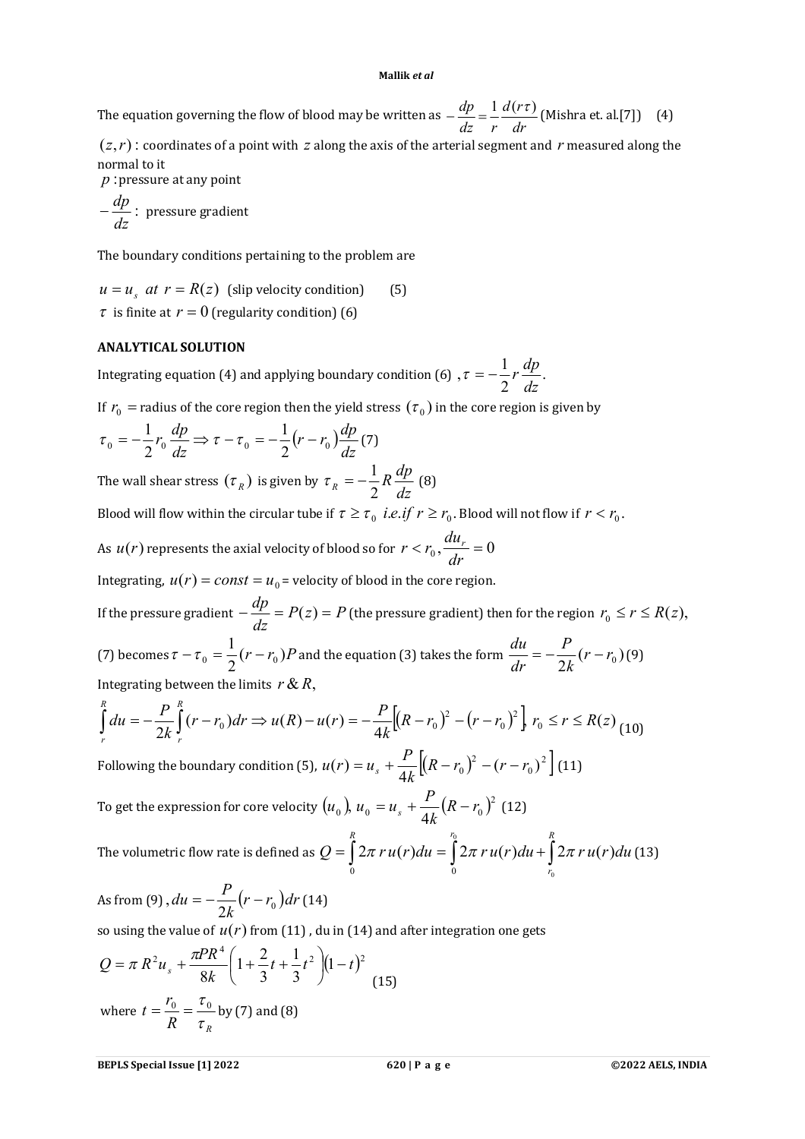The equation governing the flow of blood may be written as *dr d r dz r*  $-\frac{dp}{dt} = \frac{1}{t} \frac{d(r\tau)}{dt}$  (Mishra et. al.[7]) (4)

 $(z, r)$ : coordinates of a point with  $z$  along the axis of the arterial segment and  $r$  measured along the normal to it

*p* :pressure at any point

: *dz*  $-\frac{dp}{dt}$  : pressure gradient

The boundary conditions pertaining to the problem are

 $u = u<sub>s</sub>$  *at*  $r = R(z)$  (slip velocity condition) (5)  $\tau$  is finite at  $r = 0$  (regularity condition) (6)

### **ANALYTICAL SOLUTION**

Integrating equation (4) and applying boundary condition (6),  $\tau = -\frac{1}{2}r \frac{dP}{dr}$ . 2  $,\tau=-\frac{1}{2}$ *dz*  $\tau = -\frac{1}{2}r\frac{dp}{dr}$ .

If  $r_{\rm 0}^{\phantom{\dag}}$  = radius of the core region then the yield stress  $(\tau_{\rm 0}^{\phantom{\dag}})$  in the core region is given by

$$
\tau_0 = -\frac{1}{2}r_0 \frac{dp}{dz} \Rightarrow \tau - \tau_0 = -\frac{1}{2}(r - r_0) \frac{dp}{dz} \tag{7}
$$

The wall shear stress  $(\tau_{\scriptscriptstyle R}^{})$  is given by *dz*  $R_R = -\frac{1}{2}R\frac{dp}{dz}$  $\tau_R = -\frac{1}{2} R \frac{dp}{l}$  (8)

Blood will flow within the circular tube if  $\tau \ge \tau_0$  *i.e.if*  $r \ge r_0$ . Blood will not flow if  $r < r_0$ .

As  $u(r)$  represents the axial velocity of blood so for  $r < r_0$ ,  $\frac{u w_r}{dx} = 0$ *dr*  $r < r_0$ ,  $\frac{du_r}{dt}$ 

Integrating,  $u(r) = const = u_0$  = velocity of blood in the core region.

If the pressure gradient  $-\frac{dp}{l} = P(z) = P$ *dz*  $-\frac{dp}{dx} = P(z) = P$  (the pressure gradient) then for the region  $r_0 \le r \le R(z)$ , (7) becomes  $\tau - \tau_0 = \frac{1}{2}(r - r_0)P$ 2  $\tau-\tau_0=\frac{1}{2}(r-r_0)P$  and the equation (3) takes the form  $\frac{du}{dt}=-\frac{P}{2L}(r-r_0)$  $\frac{1}{2k}(r - r_0)$ *k P dr*  $\frac{du}{dt} = -\frac{P}{2L}(r - r_0)(9)$ Integrating between the limits  $r \& R$ ,

$$
\int_{r}^{R} du = -\frac{P}{2k} \int_{r}^{R} (r - r_0) dr \Rightarrow u(R) - u(r) = -\frac{P}{4k} \Big[ (R - r_0)^2 - (r - r_0)^2 \Big] r_0 \le r \le R(z) \tag{10}
$$

Following the boundary condition (5),  $u(r) = u_s + \frac{1}{\epsilon_0 r} \left[ (R - r_0)^2 - (r - r_0)^2 \right]$ 0 2  $(r-r_0)^2 - (r-r_0)^2$ 4  $(r) = u_s + \frac{1}{r}[(R - r_0)^2 - (r - r_0)^2]$ *k*  $u(r) = u_s + \frac{P}{4L} \left[ (R - r_0)^2 - (r - r_0)^2 \right]$  (11) To get the expression for core velocity  $(u_0)$ ,  $u_0 = u_s + \frac{F}{\epsilon_0} (R - r_0)^2$ 0 b  $u_0 - u_s$   $4k$   $($   $\cdots$   $\cdots$   $\cdots$   $\cdots$   $\cdots$   $\cdots$   $\cdots$   $\cdots$   $\cdots$   $\cdots$   $\cdots$  $u_0 = u_s + \frac{1}{\sqrt{I}}(R - r_s)$ *k*  $\mu_0$ ,  $\mu_0 = \mu_s + \frac{P}{4L}(R - r_0)^2$  (12)

The volumetric flow rate is defined as  $Q = \int 2\pi r u(r) du = \int 2\pi r u(r) du + \int$  $r_0$  *R r*  $Q = | 2\pi r u(r) du = | 2\pi r u(r) du + | 2\pi r u(r) du$ 0 0  $2\pi ru(r)du = \int_{0}^{\infty} 2\pi ru(r)du + \int_{0}^{R} 2\pi ru(r)du$  (13)  $<sup>0</sup>$ </sup>

As from (9), 
$$
du = -\frac{P}{2k}(r - r_0)dr
$$
 (14)  
so using the value of  $u(r)$  from (11), du in (14) and after integration one gets

$$
Q = \pi R^2 u_s + \frac{\pi P R^4}{8k} \left( 1 + \frac{2}{3} t + \frac{1}{3} t^2 \right) (1 - t)^2
$$
  
where  $t = \frac{r_0}{R} = \frac{\tau_0}{\tau_R}$  by (7) and (8)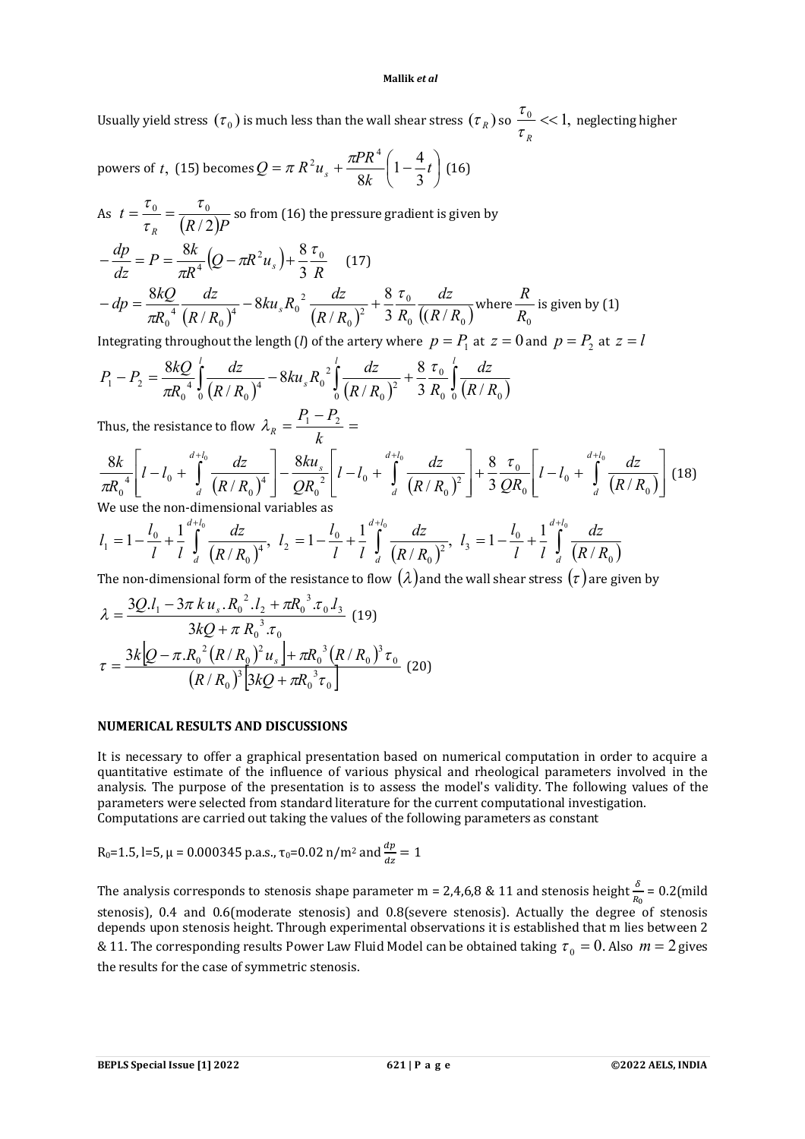Usually yield stress  $(\tau_0)$  is much less than the wall shear stress  $(\tau_R)$  so  $\frac{\tau_0}{\tau_R}$  << 1, *R*  $\frac{\tau_{0}}{\tau_{0}}$  << 1, neglecting higher

powers of *t*, (15) becomes  $Q = \pi R^2 u_s + \frac{m}{2} l \left(1 - \frac{1}{2} t\right)$ J  $\left(1-\frac{4}{2}t\right)$  $\setminus$  $=\pi R^2 u_s + \frac{\pi P R^4}{24} \left(1 - \frac{4}{3} t\right)$  $Q = \pi R^2 u_s + \frac{\pi P R^4}{8k} \left(1 - \frac{4}{3}\right)$  $1-\frac{4}{3}$ 8  $\pi R^2 u_s + \frac{\pi P R^4}{2} \left(1 - \frac{4}{5} t\right)$  (16)

As 
$$
t = \frac{\tau_0}{\tau_R} = \frac{\tau_0}{(R/2)P}
$$
 so from (16) the pressure gradient is given by  
\n
$$
-\frac{dp}{dz} = P = \frac{8k}{\pi R^4} (Q - \pi R^2 u_s) + \frac{8 \tau_0}{3 R} \qquad (17)
$$
\n
$$
-dp = \frac{8kQ}{\pi R_0^4} \frac{dz}{(R/R_0)^4} - 8ku_s R_0^2 \frac{dz}{(R/R_0)^2} + \frac{8 \tau_0}{3 R_0} \frac{dz}{((R/R_0)^2} \text{ where } \frac{R}{R_0} \text{ is given by (1)}
$$

Integrating throughout the length (*l*) of the artery where  $p = P_1$  at  $z = 0$  and  $p = P_2$  at  $z = l$ 

$$
P_1 - P_2 = \frac{8kQ}{\pi R_0^4} \int_0^l \frac{dz}{(R/R_0)^4} - 8ku_s R_0^2 \int_0^l \frac{dz}{(R/R_0)^2} + \frac{8 \tau_0}{3} \int_0^l \frac{dz}{(R/R_0)}
$$

Thus, the resistance to flow *k*  $\lambda_R = \frac{P_1 - P_2}{I} =$ 

$$
\frac{8k}{\pi R_0^4} \left[ l - l_0 + \int_d^{d+l_0} \frac{dz}{(R/R_0)^4} \right] - \frac{8ku_s}{QR_0^2} \left[ l - l_0 + \int_d^{d+l_0} \frac{dz}{(R/R_0)^2} \right] + \frac{8 \tau_0}{3 \Omega R_0} \left[ l - l_0 + \int_d^{d+l_0} \frac{dz}{(R/R_0)} \right] (18)
$$
  
We use the non-dimensional variables as

We use the non-dimensional variables as

$$
l_1 = 1 - \frac{l_0}{l} + \frac{1}{l} \int_{d}^{d+l_0} \frac{dz}{(R/R_0)^4}, \quad l_2 = 1 - \frac{l_0}{l} + \frac{1}{l} \int_{d}^{d+l_0} \frac{dz}{(R/R_0)^2}, \quad l_3 = 1 - \frac{l_0}{l} + \frac{1}{l} \int_{d}^{d+l_0} \frac{dz}{(R/R_0)}
$$

The non-dimensional form of the resistance to flow  $(\lambda)$  and the wall shear stress  $(\tau)$  are given by

$$
\lambda = \frac{3Q.I_1 - 3\pi k u_s.R_0^2.I_2 + \pi R_0^3.\tau_0.I_3}{3kQ + \pi R_0^3.\tau_0}
$$
(19)  

$$
\tau = \frac{3k[Q - \pi.R_0^2(R/R_0)^2u_s] + \pi R_0^3(R/R_0)^3\tau_0}{(R/R_0)^3[3kQ + \pi R_0^3\tau_0]}
$$
(20)

### **NUMERICAL RESULTS AND DISCUSSIONS**

It is necessary to offer a graphical presentation based on numerical computation in order to acquire a quantitative estimate of the influence of various physical and rheological parameters involved in the analysis. The purpose of the presentation is to assess the model's validity. The following values of the parameters were selected from standard literature for the current computational investigation. Computations are carried out taking the values of the following parameters as constant

R<sub>0</sub>=1.5, l=5, 
$$
\mu
$$
 = 0.000345 p.a.s.,  $\tau_0$ =0.02 n/m<sup>2</sup> and  $\frac{dp}{dz}$  = 1

The analysis corresponds to stenosis shape parameter m = 2,4,6,8 & 11 and stenosis height  $\frac{\delta}{R_0}$  = 0.2(mild stenosis), 0.4 and 0.6(moderate stenosis) and 0.8(severe stenosis). Actually the degree of stenosis depends upon stenosis height. Through experimental observations it is established that m lies between 2 & 11. The corresponding results Power Law Fluid Model can be obtained taking  $\tau_0 = 0$ . Also  $m = 2$  gives the results for the case of symmetric stenosis.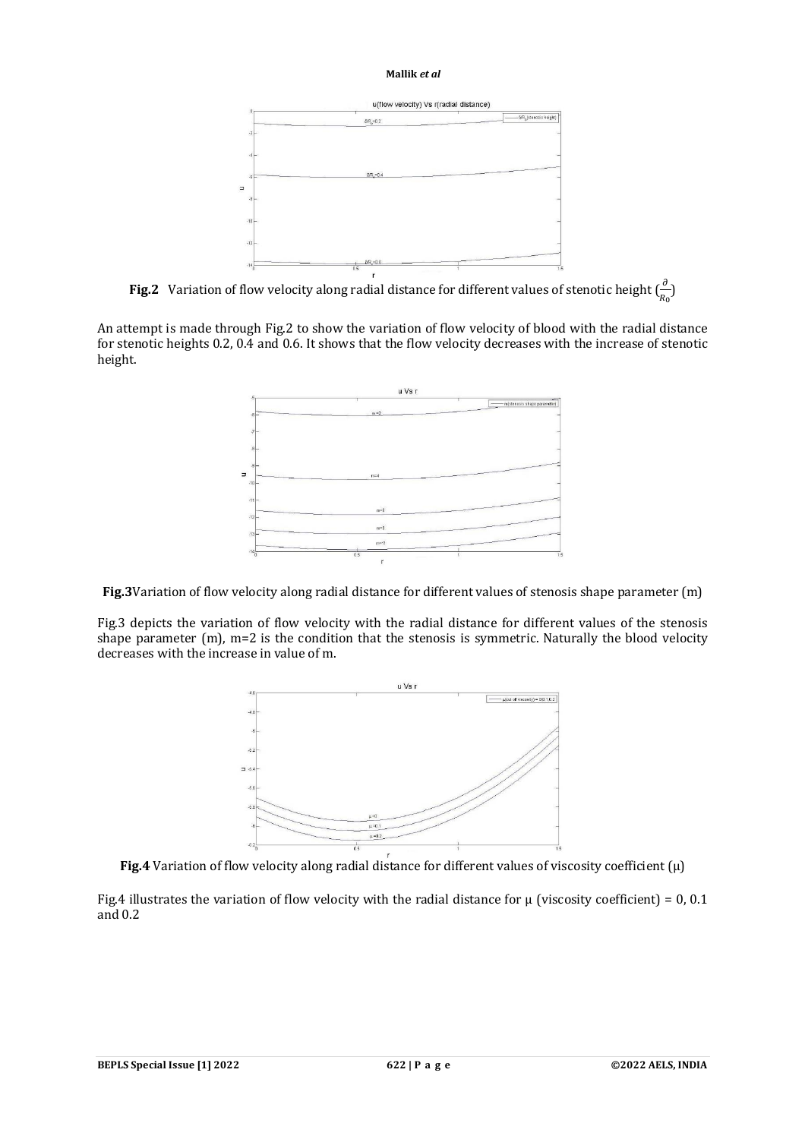

**Fig.2** Variation of flow velocity along radial distance for different values of stenotic height  $\left(\frac{\partial}{R_0}\right)$ 

An attempt is made through Fig.2 to show the variation of flow velocity of blood with the radial distance for stenotic heights 0.2, 0.4 and 0.6. It shows that the flow velocity decreases with the increase of stenotic height.



**Fig.3**Variation of flow velocity along radial distance for different values of stenosis shape parameter (m)

Fig.3 depicts the variation of flow velocity with the radial distance for different values of the stenosis shape parameter (m), m=2 is the condition that the stenosis is symmetric. Naturally the blood velocity decreases with the increase in value of m.





Fig.4 illustrates the variation of flow velocity with the radial distance for  $\mu$  (viscosity coefficient) = 0, 0.1 and 0.2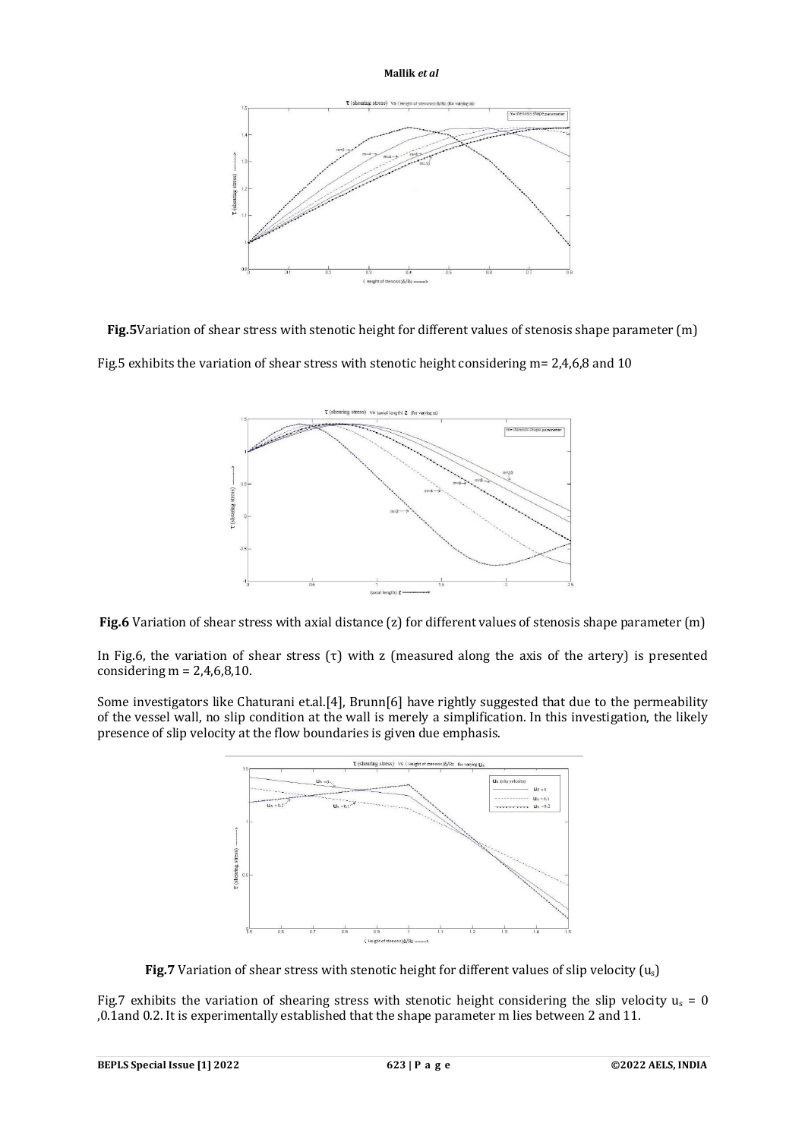

**Fig.5**Variation of shear stress with stenotic height for different values of stenosis shape parameter (m) Fig.5 exhibits the variation of shear stress with stenotic height considering m= 2,4,6,8 and 10



Fig.6 Variation of shear stress with axial distance (z) for different values of stenosis shape parameter (m)

In Fig.6, the variation of shear stress  $(\tau)$  with z (measured along the axis of the artery) is presented considering  $m = 2,4,6,8,10$ .

Some investigators like Chaturani et.al.[4], Brunn[6] have rightly suggested that due to the permeability of the vessel wall, no slip condition at the wall is merely a simplification. In this investigation, the likely presence of slip velocity at the flow boundaries is given due emphasis.



**Fig.7** Variation of shear stress with stenotic height for different values of slip velocity (u<sub>s</sub>)

Fig.7 exhibits the variation of shearing stress with stenotic height considering the slip velocity  $u_s = 0$ ,0.1and 0.2. It is experimentally established that the shape parameter m lies between 2 and 11.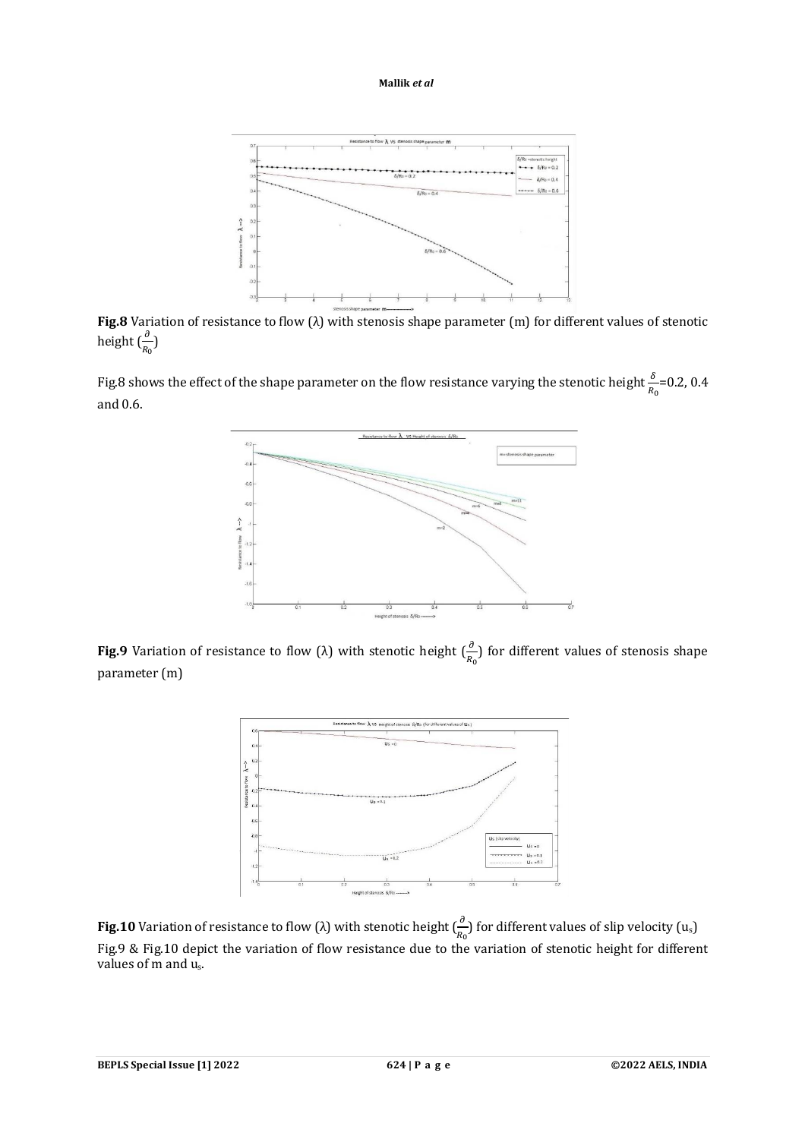

**Fig.8** Variation of resistance to flow (λ) with stenosis shape parameter (m) for different values of stenotic height  $(\frac{\partial}{R_0})$ 

Fig.8 shows the effect of the shape parameter on the flow resistance varying the stenotic height  $\frac{\delta}{R_0}$ =0.2, 0.4 and 0.6.



**Fig.9** Variation of resistance to flow ( $\lambda$ ) with stenotic height  $(\frac{\partial}{R_0})$  for different values of stenosis shape parameter (m)



**Fig.10** Variation of resistance to flow (λ) with stenotic height  $(\frac{\partial}{R_0})$  for different values of slip velocity (u<sub>s</sub>) Fig.9 & Fig.10 depict the variation of flow resistance due to the variation of stenotic height for different values of m and us.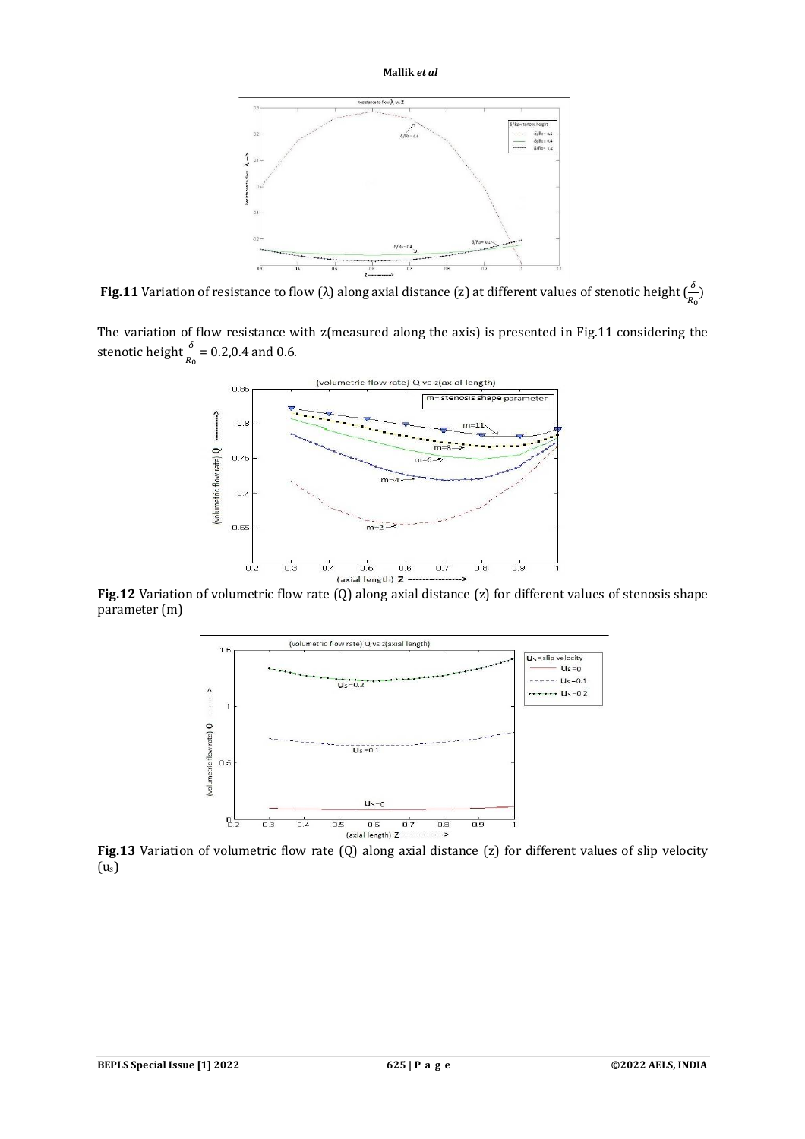

**Fig.11** Variation of resistance to flow ( $\lambda$ ) along axial distance (z) at different values of stenotic height ( $\frac{\delta}{n}$  $\frac{0}{R_0}$ 

The variation of flow resistance with z(measured along the axis) is presented in Fig.11 considering the stenotic height  $\frac{\delta}{R_0}$  = 0.2,0.4 and 0.6.



**Fig.12** Variation of volumetric flow rate (Q) along axial distance (z) for different values of stenosis shape parameter (m)



**Fig.13** Variation of volumetric flow rate (Q) along axial distance (z) for different values of slip velocity  $(u<sub>s</sub>)$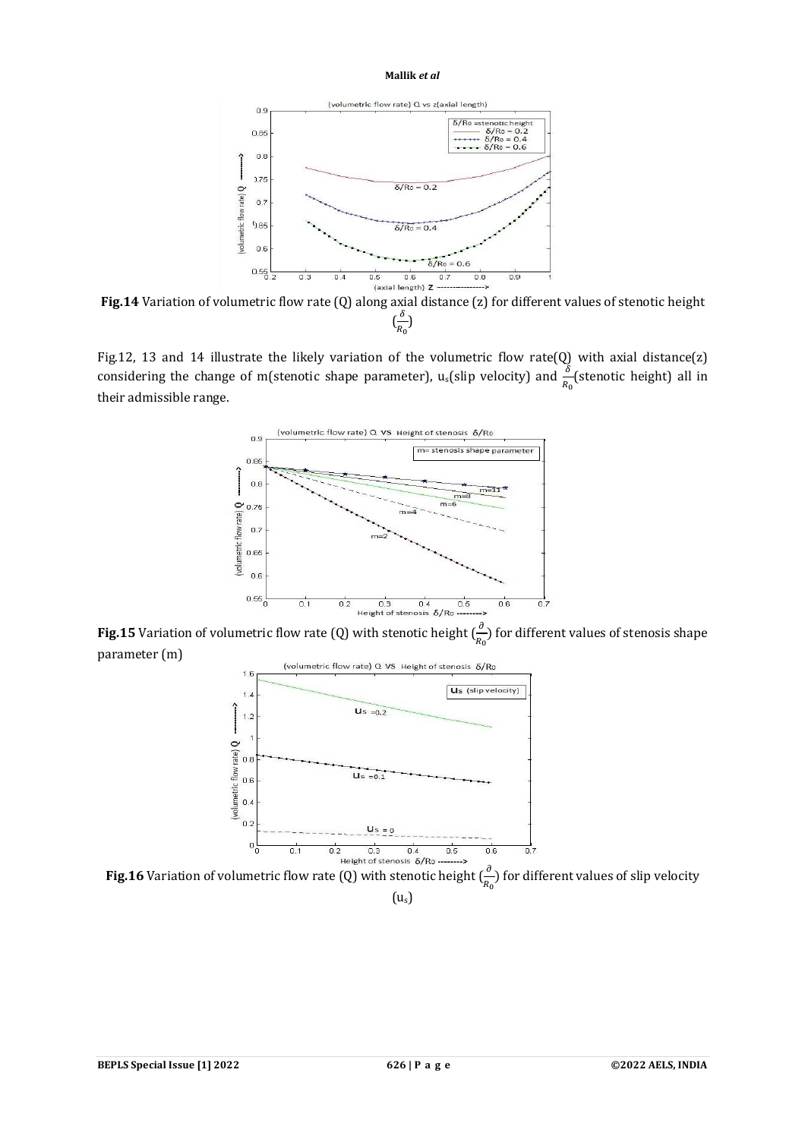

**Fig.14** Variation of volumetric flow rate (Q) along axial distance (z) for different values of stenotic height  $\left(\frac{\delta}{\rho}\right)$  $\frac{0}{R_0}$ 

Fig.12, 13 and 14 illustrate the likely variation of the volumetric flow rate(Q) with axial distance(z) considering the change of m(stenotic shape parameter),  $u_s$ (slip velocity) and  $\frac{\delta}{R_0}$ (stenotic height) all in their admissible range.



**Fig.15** Variation of volumetric flow rate (Q) with stenotic height  $(\frac{\partial}{R_0})$  for different values of stenosis shape parameter (m)



**Fig.16** Variation of volumetric flow rate (Q) with stenotic height  $(\frac{\partial}{R_0})$  for different values of slip velocity  $(u<sub>s</sub>)$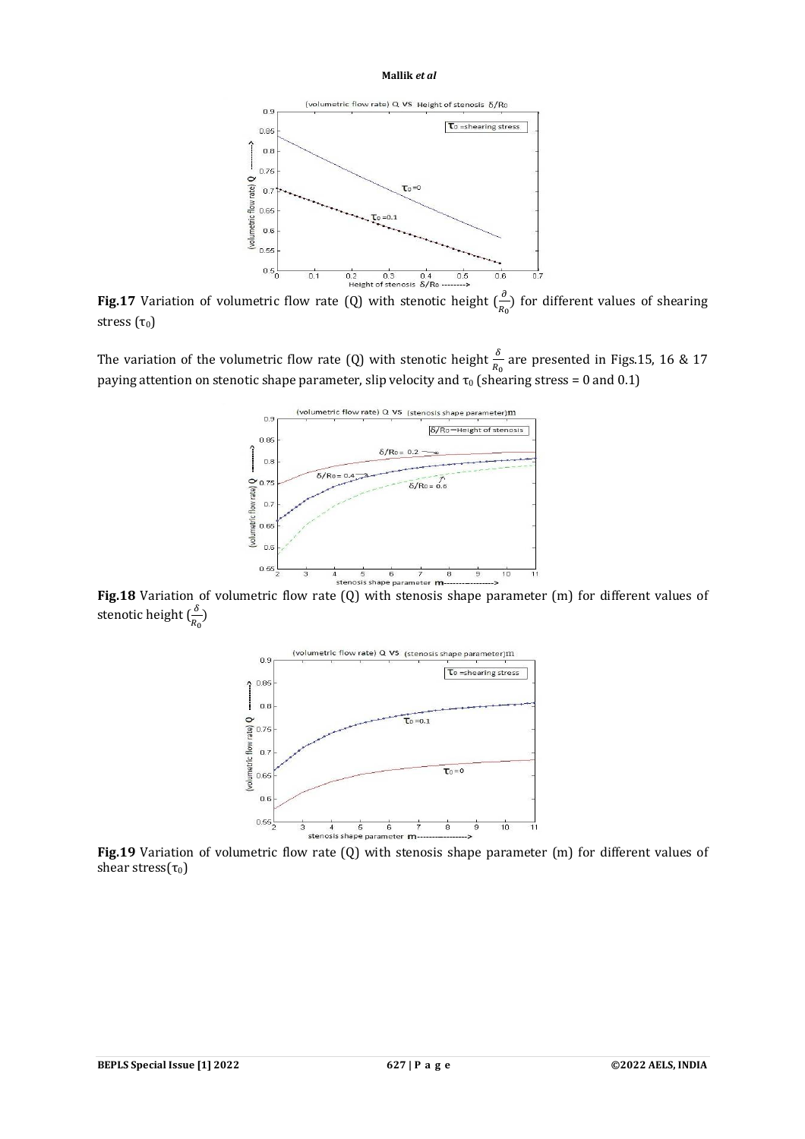

**Fig.17** Variation of volumetric flow rate (Q) with stenotic height  $(\frac{\partial}{R_0})$  for different values of shearing stress  $(\tau_0)$ 

The variation of the volumetric flow rate (Q) with stenotic height  $\frac{\delta}{R_0}$  are presented in Figs.15, 16 & 17 paying attention on stenotic shape parameter, slip velocity and  $\tau_0$  (shearing stress = 0 and 0.1)



**Fig.18** Variation of volumetric flow rate (Q) with stenosis shape parameter (m) for different values of stenotic height  $(\frac{\delta}{R_0})$ 



**Fig.19** Variation of volumetric flow rate (Q) with stenosis shape parameter (m) for different values of shear stress( $\tau_0$ )